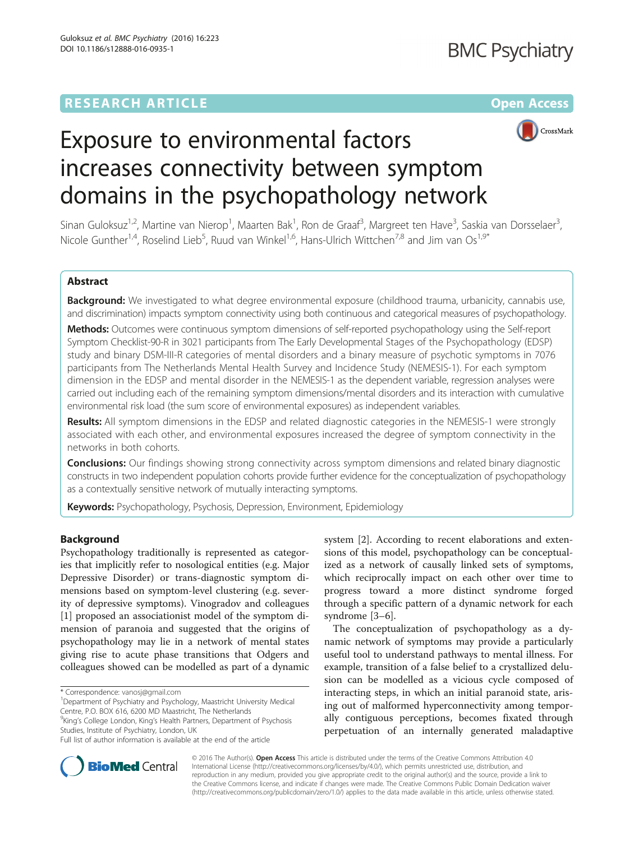# **RESEARCH ARTICLE Example 2018 12:00 Department of the CONNECTION CONNECTION CONNECTION CONNECTION CONNECTION**



# Exposure to environmental factors increases connectivity between symptom domains in the psychopathology network

Sinan Guloksuz<sup>1,2</sup>, Martine van Nierop<sup>1</sup>, Maarten Bak<sup>1</sup>, Ron de Graaf<sup>3</sup>, Margreet ten Have<sup>3</sup>, Saskia van Dorsselaer<sup>3</sup> , Nicole Gunther<sup>1,4</sup>, Roselind Lieb<sup>5</sup>, Ruud van Winkel<sup>1,6</sup>, Hans-Ulrich Wittchen<sup>7,8</sup> and Jim van Os<sup>1,9\*</sup>

# Abstract

Background: We investigated to what degree environmental exposure (childhood trauma, urbanicity, cannabis use, and discrimination) impacts symptom connectivity using both continuous and categorical measures of psychopathology.

Methods: Outcomes were continuous symptom dimensions of self-reported psychopathology using the Self-report Symptom Checklist-90-R in 3021 participants from The Early Developmental Stages of the Psychopathology (EDSP) study and binary DSM-III-R categories of mental disorders and a binary measure of psychotic symptoms in 7076 participants from The Netherlands Mental Health Survey and Incidence Study (NEMESIS-1). For each symptom dimension in the EDSP and mental disorder in the NEMESIS-1 as the dependent variable, regression analyses were carried out including each of the remaining symptom dimensions/mental disorders and its interaction with cumulative environmental risk load (the sum score of environmental exposures) as independent variables.

Results: All symptom dimensions in the EDSP and related diagnostic categories in the NEMESIS-1 were strongly associated with each other, and environmental exposures increased the degree of symptom connectivity in the networks in both cohorts.

**Conclusions:** Our findings showing strong connectivity across symptom dimensions and related binary diagnostic constructs in two independent population cohorts provide further evidence for the conceptualization of psychopathology as a contextually sensitive network of mutually interacting symptoms.

**Keywords:** Psychopathology, Psychosis, Depression, Environment, Epidemiology

# Background

Psychopathology traditionally is represented as categories that implicitly refer to nosological entities (e.g. Major Depressive Disorder) or trans-diagnostic symptom dimensions based on symptom-level clustering (e.g. severity of depressive symptoms). Vinogradov and colleagues [[1\]](#page-8-0) proposed an associationist model of the symptom dimension of paranoia and suggested that the origins of psychopathology may lie in a network of mental states giving rise to acute phase transitions that Odgers and colleagues showed can be modelled as part of a dynamic

<sup>1</sup>Department of Psychiatry and Psychology, Maastricht University Medical Centre, P.O. BOX 616, 6200 MD Maastricht, The Netherlands <sup>9</sup>King's College London, King's Health Partners, Department of Psychosis Studies, Institute of Psychiatry, London, UK

system [\[2](#page-8-0)]. According to recent elaborations and extensions of this model, psychopathology can be conceptualized as a network of causally linked sets of symptoms, which reciprocally impact on each other over time to progress toward a more distinct syndrome forged through a specific pattern of a dynamic network for each syndrome [\[3](#page-8-0)–[6\]](#page-8-0).

The conceptualization of psychopathology as a dynamic network of symptoms may provide a particularly useful tool to understand pathways to mental illness. For example, transition of a false belief to a crystallized delusion can be modelled as a vicious cycle composed of interacting steps, in which an initial paranoid state, arising out of malformed hyperconnectivity among temporally contiguous perceptions, becomes fixated through perpetuation of an internally generated maladaptive



© 2016 The Author(s). Open Access This article is distributed under the terms of the Creative Commons Attribution 4.0 International License [\(http://creativecommons.org/licenses/by/4.0/](http://creativecommons.org/licenses/by/4.0/)), which permits unrestricted use, distribution, and reproduction in any medium, provided you give appropriate credit to the original author(s) and the source, provide a link to the Creative Commons license, and indicate if changes were made. The Creative Commons Public Domain Dedication waiver [\(http://creativecommons.org/publicdomain/zero/1.0/](http://creativecommons.org/publicdomain/zero/1.0/)) applies to the data made available in this article, unless otherwise stated.

<sup>\*</sup> Correspondence: [vanosj@gmail.com](mailto:vanosj@gmail.com) <sup>1</sup>

Full list of author information is available at the end of the article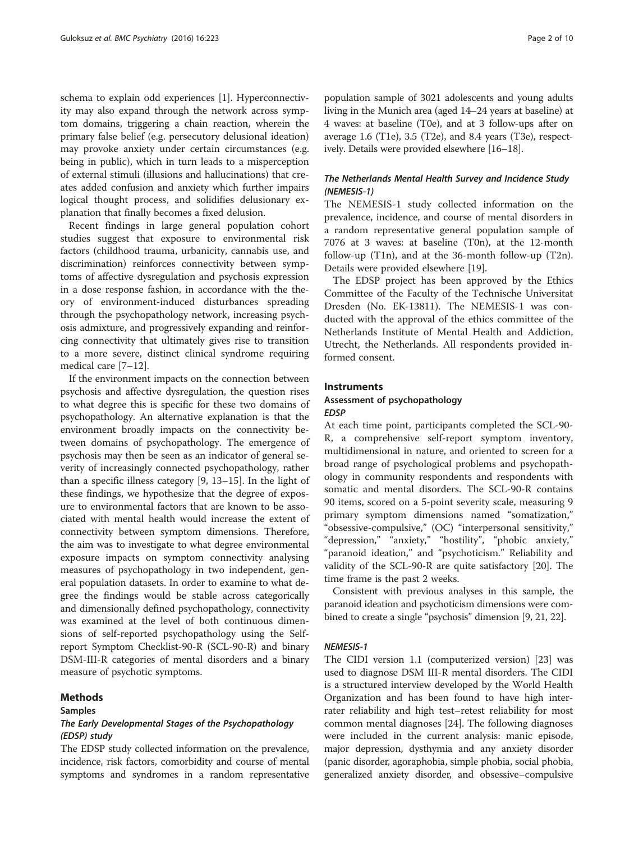schema to explain odd experiences [[1](#page-8-0)]. Hyperconnectivity may also expand through the network across symptom domains, triggering a chain reaction, wherein the primary false belief (e.g. persecutory delusional ideation) may provoke anxiety under certain circumstances (e.g. being in public), which in turn leads to a misperception of external stimuli (illusions and hallucinations) that creates added confusion and anxiety which further impairs logical thought process, and solidifies delusionary explanation that finally becomes a fixed delusion.

Recent findings in large general population cohort studies suggest that exposure to environmental risk factors (childhood trauma, urbanicity, cannabis use, and discrimination) reinforces connectivity between symptoms of affective dysregulation and psychosis expression in a dose response fashion, in accordance with the theory of environment-induced disturbances spreading through the psychopathology network, increasing psychosis admixture, and progressively expanding and reinforcing connectivity that ultimately gives rise to transition to a more severe, distinct clinical syndrome requiring medical care [\[7](#page-8-0)–[12\]](#page-9-0).

If the environment impacts on the connection between psychosis and affective dysregulation, the question rises to what degree this is specific for these two domains of psychopathology. An alternative explanation is that the environment broadly impacts on the connectivity between domains of psychopathology. The emergence of psychosis may then be seen as an indicator of general severity of increasingly connected psychopathology, rather than a specific illness category [[9](#page-8-0), [13](#page-9-0)–[15](#page-9-0)]. In the light of these findings, we hypothesize that the degree of exposure to environmental factors that are known to be associated with mental health would increase the extent of connectivity between symptom dimensions. Therefore, the aim was to investigate to what degree environmental exposure impacts on symptom connectivity analysing measures of psychopathology in two independent, general population datasets. In order to examine to what degree the findings would be stable across categorically and dimensionally defined psychopathology, connectivity was examined at the level of both continuous dimensions of self-reported psychopathology using the Selfreport Symptom Checklist-90-R (SCL-90-R) and binary DSM-III-R categories of mental disorders and a binary measure of psychotic symptoms.

#### Methods

#### Samples

# The Early Developmental Stages of the Psychopathology (EDSP) study

The EDSP study collected information on the prevalence, incidence, risk factors, comorbidity and course of mental symptoms and syndromes in a random representative

population sample of 3021 adolescents and young adults living in the Munich area (aged 14–24 years at baseline) at 4 waves: at baseline (T0e), and at 3 follow-ups after on average 1.6 (T1e), 3.5 (T2e), and 8.4 years (T3e), respectively. Details were provided elsewhere [[16](#page-9-0)–[18\]](#page-9-0).

# The Netherlands Mental Health Survey and Incidence Study (NEMESIS-1)

The NEMESIS-1 study collected information on the prevalence, incidence, and course of mental disorders in a random representative general population sample of 7076 at 3 waves: at baseline (T0n), at the 12-month follow-up (T1n), and at the 36-month follow-up (T2n). Details were provided elsewhere [[19](#page-9-0)].

The EDSP project has been approved by the Ethics Committee of the Faculty of the Technische Universitat Dresden (No. EK-13811). The NEMESIS-1 was conducted with the approval of the ethics committee of the Netherlands Institute of Mental Health and Addiction, Utrecht, the Netherlands. All respondents provided informed consent.

# **Instruments**

# Assessment of psychopathology

# EDSP

At each time point, participants completed the SCL-90- R, a comprehensive self-report symptom inventory, multidimensional in nature, and oriented to screen for a broad range of psychological problems and psychopathology in community respondents and respondents with somatic and mental disorders. The SCL-90-R contains 90 items, scored on a 5-point severity scale, measuring 9 primary symptom dimensions named "somatization," "obsessive-compulsive," (OC) "interpersonal sensitivity," "depression," "anxiety," "hostility", "phobic anxiety," "paranoid ideation," and "psychoticism." Reliability and validity of the SCL-90-R are quite satisfactory [[20](#page-9-0)]. The time frame is the past 2 weeks.

Consistent with previous analyses in this sample, the paranoid ideation and psychoticism dimensions were combined to create a single "psychosis" dimension [\[9](#page-8-0), [21](#page-9-0), [22\]](#page-9-0).

#### NEMESIS-1

The CIDI version 1.1 (computerized version) [[23\]](#page-9-0) was used to diagnose DSM III-R mental disorders. The CIDI is a structured interview developed by the World Health Organization and has been found to have high interrater reliability and high test–retest reliability for most common mental diagnoses [[24\]](#page-9-0). The following diagnoses were included in the current analysis: manic episode, major depression, dysthymia and any anxiety disorder (panic disorder, agoraphobia, simple phobia, social phobia, generalized anxiety disorder, and obsessive–compulsive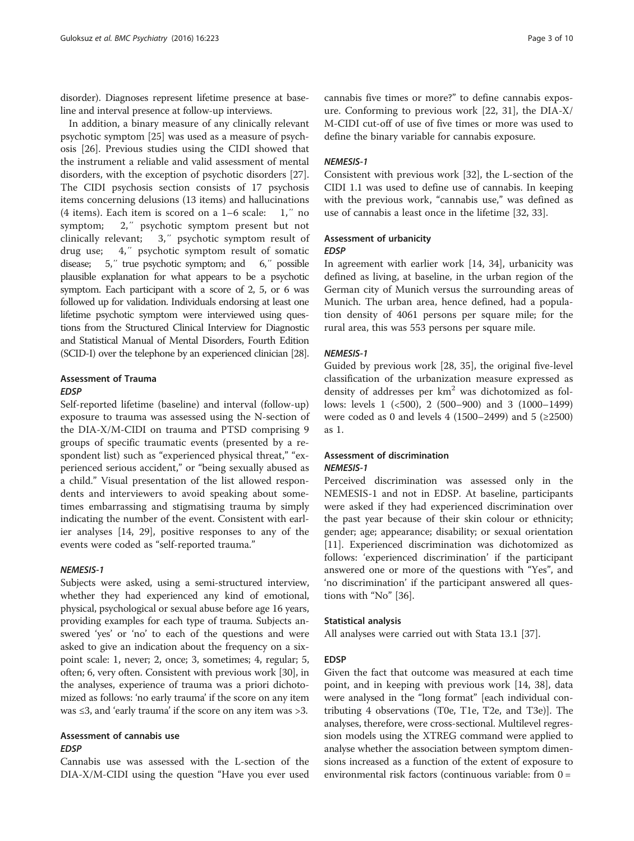disorder). Diagnoses represent lifetime presence at baseline and interval presence at follow-up interviews.

In addition, a binary measure of any clinically relevant psychotic symptom [[25\]](#page-9-0) was used as a measure of psychosis [[26](#page-9-0)]. Previous studies using the CIDI showed that the instrument a reliable and valid assessment of mental disorders, with the exception of psychotic disorders [\[27](#page-9-0)]. The CIDI psychosis section consists of 17 psychosis items concerning delusions (13 items) and hallucinations (4 items). Each item is scored on a 1–6 scale: 1,″ no symptom; 2,″ psychotic symptom present but not clinically relevant; 3,″ psychotic symptom result of drug use; 4,″ psychotic symptom result of somatic disease; 5,″ true psychotic symptom; and 6,″ possible plausible explanation for what appears to be a psychotic symptom. Each participant with a score of 2, 5, or 6 was followed up for validation. Individuals endorsing at least one lifetime psychotic symptom were interviewed using questions from the Structured Clinical Interview for Diagnostic and Statistical Manual of Mental Disorders, Fourth Edition (SCID-I) over the telephone by an experienced clinician [\[28](#page-9-0)].

# Assessment of Trauma **EDSP**

Self-reported lifetime (baseline) and interval (follow-up) exposure to trauma was assessed using the N-section of the DIA-X/M-CIDI on trauma and PTSD comprising 9 groups of specific traumatic events (presented by a respondent list) such as "experienced physical threat," "experienced serious accident," or "being sexually abused as a child." Visual presentation of the list allowed respondents and interviewers to avoid speaking about sometimes embarrassing and stigmatising trauma by simply indicating the number of the event. Consistent with earlier analyses [[14, 29\]](#page-9-0), positive responses to any of the events were coded as "self-reported trauma."

## NEMESIS-1

Subjects were asked, using a semi-structured interview, whether they had experienced any kind of emotional, physical, psychological or sexual abuse before age 16 years, providing examples for each type of trauma. Subjects answered 'yes' or 'no' to each of the questions and were asked to give an indication about the frequency on a sixpoint scale: 1, never; 2, once; 3, sometimes; 4, regular; 5, often; 6, very often. Consistent with previous work [\[30\]](#page-9-0), in the analyses, experience of trauma was a priori dichotomized as follows: 'no early trauma' if the score on any item was ≤3, and 'early trauma' if the score on any item was >3.

# Assessment of cannabis use **EDSP**

Cannabis use was assessed with the L-section of the DIA-X/M-CIDI using the question "Have you ever used

cannabis five times or more?" to define cannabis exposure. Conforming to previous work [\[22, 31\]](#page-9-0), the DIA-X/ M-CIDI cut-off of use of five times or more was used to define the binary variable for cannabis exposure.

#### NEMESIS-1

Consistent with previous work [\[32\]](#page-9-0), the L-section of the CIDI 1.1 was used to define use of cannabis. In keeping with the previous work, "cannabis use," was defined as use of cannabis a least once in the lifetime [\[32, 33\]](#page-9-0).

#### Assessment of urbanicity **EDSP**

In agreement with earlier work [\[14](#page-9-0), [34](#page-9-0)], urbanicity was defined as living, at baseline, in the urban region of the German city of Munich versus the surrounding areas of Munich. The urban area, hence defined, had a population density of 4061 persons per square mile; for the rural area, this was 553 persons per square mile.

## NEMESIS-1

Guided by previous work [[28, 35](#page-9-0)], the original five-level classification of the urbanization measure expressed as density of addresses per km2 was dichotomized as follows: levels 1 (<500), 2 (500–900) and 3 (1000–1499) were coded as 0 and levels 4 (1500–2499) and 5 ( $\geq$ 2500) as 1.

# Assessment of discrimination NEMESIS-1

Perceived discrimination was assessed only in the NEMESIS-1 and not in EDSP. At baseline, participants were asked if they had experienced discrimination over the past year because of their skin colour or ethnicity; gender; age; appearance; disability; or sexual orientation [[11\]](#page-9-0). Experienced discrimination was dichotomized as follows: 'experienced discrimination' if the participant answered one or more of the questions with "Yes", and 'no discrimination' if the participant answered all questions with "No" [\[36](#page-9-0)].

#### Statistical analysis

All analyses were carried out with Stata 13.1 [[37\]](#page-9-0).

# EDSP

Given the fact that outcome was measured at each time point, and in keeping with previous work [[14](#page-9-0), [38](#page-9-0)], data were analysed in the "long format" [each individual contributing 4 observations (T0e, T1e, T2e, and T3e)]. The analyses, therefore, were cross-sectional. Multilevel regression models using the XTREG command were applied to analyse whether the association between symptom dimensions increased as a function of the extent of exposure to environmental risk factors (continuous variable: from 0 =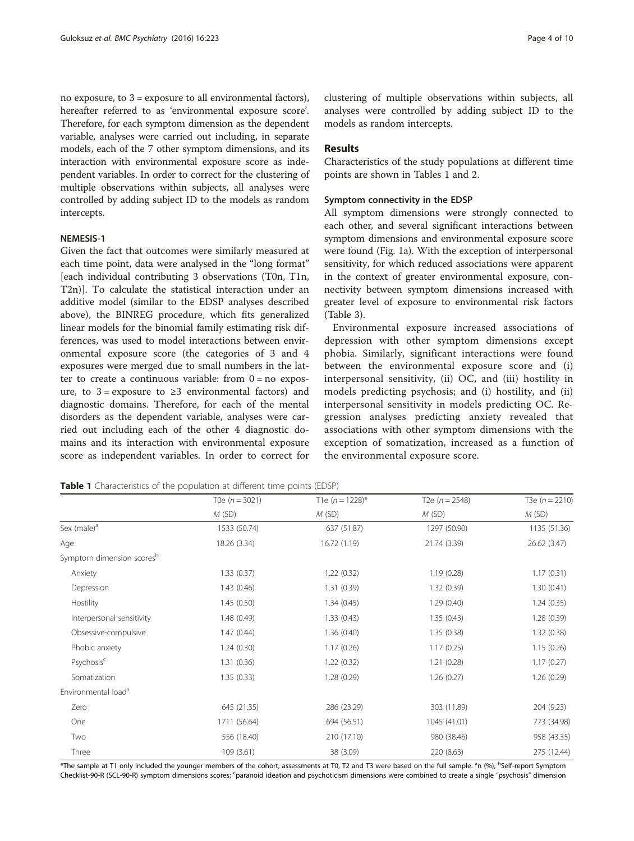no exposure, to  $3 =$  exposure to all environmental factors), hereafter referred to as 'environmental exposure score'. Therefore, for each symptom dimension as the dependent variable, analyses were carried out including, in separate models, each of the 7 other symptom dimensions, and its interaction with environmental exposure score as independent variables. In order to correct for the clustering of multiple observations within subjects, all analyses were controlled by adding subject ID to the models as random intercepts.

#### NEMESIS-1

Given the fact that outcomes were similarly measured at each time point, data were analysed in the "long format" [each individual contributing 3 observations (T0n, T1n, T2n)]. To calculate the statistical interaction under an additive model (similar to the EDSP analyses described above), the BINREG procedure, which fits generalized linear models for the binomial family estimating risk differences, was used to model interactions between environmental exposure score (the categories of 3 and 4 exposures were merged due to small numbers in the latter to create a continuous variable: from  $0 = no$  exposure, to  $3 =$  exposure to  $\geq 3$  environmental factors) and diagnostic domains. Therefore, for each of the mental disorders as the dependent variable, analyses were carried out including each of the other 4 diagnostic domains and its interaction with environmental exposure score as independent variables. In order to correct for

clustering of multiple observations within subjects, all analyses were controlled by adding subject ID to the models as random intercepts.

#### Results

Characteristics of the study populations at different time points are shown in Tables 1 and [2](#page-4-0).

#### Symptom connectivity in the EDSP

All symptom dimensions were strongly connected to each other, and several significant interactions between symptom dimensions and environmental exposure score were found (Fig. [1a\)](#page-5-0). With the exception of interpersonal sensitivity, for which reduced associations were apparent in the context of greater environmental exposure, connectivity between symptom dimensions increased with greater level of exposure to environmental risk factors (Table [3\)](#page-6-0).

Environmental exposure increased associations of depression with other symptom dimensions except phobia. Similarly, significant interactions were found between the environmental exposure score and (i) interpersonal sensitivity, (ii) OC, and (iii) hostility in models predicting psychosis; and (i) hostility, and (ii) interpersonal sensitivity in models predicting OC. Regression analyses predicting anxiety revealed that associations with other symptom dimensions with the exception of somatization, increased as a function of the environmental exposure score.

Table 1 Characteristics of the population at different time points (EDSP)

|                                       | T0e $(n = 3021)$ | T1e $(n = 1228)^*$ | T <sub>2</sub> e ( $n = 2548$ ) | T3e $(n = 2210)$ |  |
|---------------------------------------|------------------|--------------------|---------------------------------|------------------|--|
|                                       | M(SD)            | M(SD)              | M(SD)                           | M(SD)            |  |
| Sex (male) <sup>a</sup>               | 1533 (50.74)     | 637 (51.87)        | 1297 (50.90)                    | 1135 (51.36)     |  |
| Age                                   | 18.26 (3.34)     | 16.72 (1.19)       | 21.74 (3.39)                    | 26.62 (3.47)     |  |
| Symptom dimension scores <sup>b</sup> |                  |                    |                                 |                  |  |
| Anxiety                               | 1.33(0.37)       | 1.22(0.32)         | 1.19(0.28)                      | 1.17(0.31)       |  |
| Depression                            | 1.43(0.46)       | 1.31(0.39)         | 1.32(0.39)                      | 1.30(0.41)       |  |
| Hostility                             | 1.45(0.50)       | 1.34(0.45)         | 1.29(0.40)                      | 1.24(0.35)       |  |
| Interpersonal sensitivity             | 1.48(0.49)       | 1.33(0.43)         | 1.35(0.43)                      | 1.28(0.39)       |  |
| Obsessive-compulsive                  | 1.47(0.44)       | 1.36(0.40)         | 1.35(0.38)                      | 1.32(0.38)       |  |
| Phobic anxiety                        | 1.24(0.30)       | 1.17(0.26)         | 1.17(0.25)                      | 1.15(0.26)       |  |
| Psychosis <sup>c</sup>                | 1.31(0.36)       | 1.22(0.32)         | 1.21(0.28)                      | 1.17(0.27)       |  |
| Somatization                          | 1.35(0.33)       | 1.28(0.29)         | 1.26(0.27)                      | 1.26(0.29)       |  |
| Environmental load <sup>a</sup>       |                  |                    |                                 |                  |  |
| Zero                                  | 645 (21.35)      | 286 (23.29)        | 303 (11.89)                     | 204 (9.23)       |  |
| One                                   | 1711 (56.64)     | 694 (56.51)        | 1045 (41.01)                    | 773 (34.98)      |  |
| Two                                   | 556 (18.40)      | 210 (17.10)        | 980 (38.46)                     | 958 (43.35)      |  |
| Three                                 | 109(3.61)        | 38 (3.09)          | 220 (8.63)                      | 275 (12.44)      |  |

\*The sample at T1 only included the younger members of the cohort; assessments at T0, T2 and T3 were based on the full sample. <sup>a</sup>n (%); <sup>b</sup>Self-report Symptom Checklist-90-R (SCL-90-R) symptom dimensions scores; <sup>c</sup>paranoid ideation and psychoticism dimensions were combined to create a single "psychosis" dimension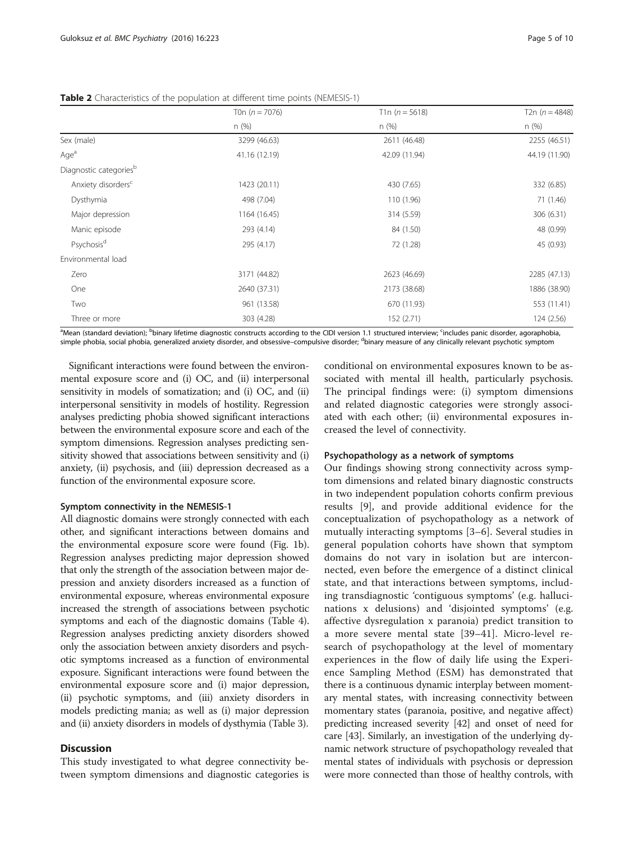|                                    | T <sub>0</sub> $(n = 7076)$ | T1n $(n = 5618)$ | T2n $(n = 4848)$ |  |
|------------------------------------|-----------------------------|------------------|------------------|--|
|                                    | n(%)                        | n (%)            | n(%)             |  |
| Sex (male)                         | 3299 (46.63)                | 2611 (46.48)     | 2255 (46.51)     |  |
| Age <sup>a</sup>                   | 41.16 (12.19)               | 42.09 (11.94)    | 44.19 (11.90)    |  |
| Diagnostic categories <sup>b</sup> |                             |                  |                  |  |
| Anxiety disorders <sup>c</sup>     | 1423 (20.11)                | 430 (7.65)       | 332 (6.85)       |  |
| Dysthymia                          | 498 (7.04)                  | 110 (1.96)       | 71 (1.46)        |  |
| Major depression                   | 1164 (16.45)                | 314 (5.59)       | 306 (6.31)       |  |
| Manic episode                      | 293 (4.14)                  | 84 (1.50)        | 48 (0.99)        |  |
| Psychosis <sup>d</sup>             | 295 (4.17)                  | 72 (1.28)        | 45 (0.93)        |  |
| Environmental load                 |                             |                  |                  |  |
| Zero                               | 3171 (44.82)                | 2623 (46.69)     | 2285 (47.13)     |  |
| One                                | 2640 (37.31)                | 2173 (38.68)     | 1886 (38.90)     |  |
| Two                                | 961 (13.58)                 | 670 (11.93)      | 553 (11.41)      |  |
| Three or more<br><b>Burning</b>    | 303 (4.28)                  | 152 (2.71)       | 124 (2.56)       |  |

<span id="page-4-0"></span>Table 2 Characteristics of the population at different time points (NEMESIS-1)

<sup>a</sup>Mean (standard deviation); <sup>b</sup>binary lifetime diagnostic constructs according to the CIDI version 1.1 structured interview; <sup>c</sup>includes panic disorder, agoraphobia, simple phobia, social phobia, generalized anxiety disorder, and obsessive–compulsive disorder; <sup>d</sup>binary measure of any clinically relevant psychotic symptom

Significant interactions were found between the environmental exposure score and (i) OC, and (ii) interpersonal sensitivity in models of somatization; and (i) OC, and (ii) interpersonal sensitivity in models of hostility. Regression analyses predicting phobia showed significant interactions between the environmental exposure score and each of the symptom dimensions. Regression analyses predicting sensitivity showed that associations between sensitivity and (i) anxiety, (ii) psychosis, and (iii) depression decreased as a function of the environmental exposure score.

#### Symptom connectivity in the NEMESIS-1

All diagnostic domains were strongly connected with each other, and significant interactions between domains and the environmental exposure score were found (Fig. [1b](#page-5-0)). Regression analyses predicting major depression showed that only the strength of the association between major depression and anxiety disorders increased as a function of environmental exposure, whereas environmental exposure increased the strength of associations between psychotic symptoms and each of the diagnostic domains (Table [4](#page-7-0)). Regression analyses predicting anxiety disorders showed only the association between anxiety disorders and psychotic symptoms increased as a function of environmental exposure. Significant interactions were found between the environmental exposure score and (i) major depression, (ii) psychotic symptoms, and (iii) anxiety disorders in models predicting mania; as well as (i) major depression and (ii) anxiety disorders in models of dysthymia (Table [3\)](#page-6-0).

#### **Discussion**

This study investigated to what degree connectivity between symptom dimensions and diagnostic categories is

conditional on environmental exposures known to be associated with mental ill health, particularly psychosis. The principal findings were: (i) symptom dimensions and related diagnostic categories were strongly associated with each other; (ii) environmental exposures increased the level of connectivity.

#### Psychopathology as a network of symptoms

Our findings showing strong connectivity across symptom dimensions and related binary diagnostic constructs in two independent population cohorts confirm previous results [\[9](#page-8-0)], and provide additional evidence for the conceptualization of psychopathology as a network of mutually interacting symptoms [\[3](#page-8-0)–[6](#page-8-0)]. Several studies in general population cohorts have shown that symptom domains do not vary in isolation but are interconnected, even before the emergence of a distinct clinical state, and that interactions between symptoms, including transdiagnostic 'contiguous symptoms' (e.g. hallucinations x delusions) and 'disjointed symptoms' (e.g. affective dysregulation x paranoia) predict transition to a more severe mental state [[39](#page-9-0)–[41](#page-9-0)]. Micro-level research of psychopathology at the level of momentary experiences in the flow of daily life using the Experience Sampling Method (ESM) has demonstrated that there is a continuous dynamic interplay between momentary mental states, with increasing connectivity between momentary states (paranoia, positive, and negative affect) predicting increased severity [\[42\]](#page-9-0) and onset of need for care [[43](#page-9-0)]. Similarly, an investigation of the underlying dynamic network structure of psychopathology revealed that mental states of individuals with psychosis or depression were more connected than those of healthy controls, with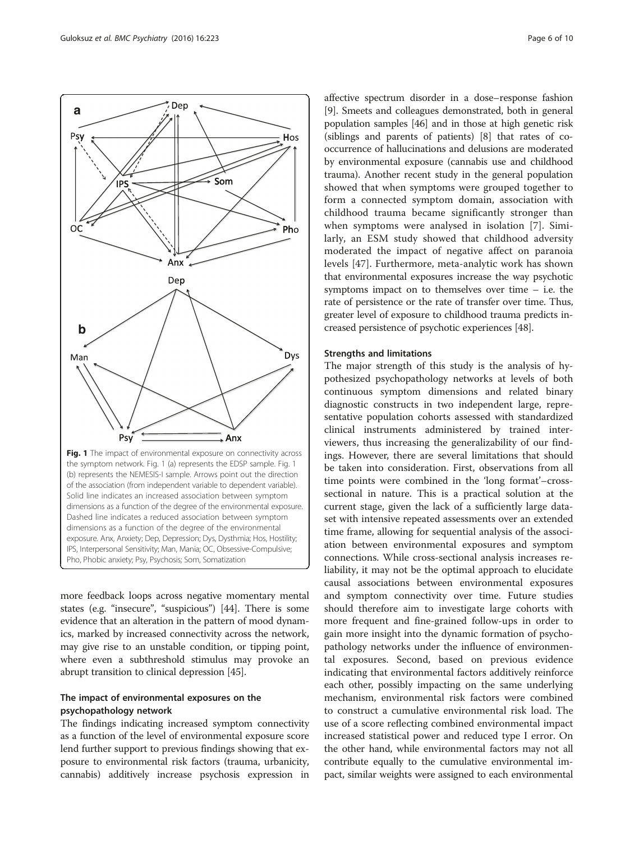more feedback loops across negative momentary mental states (e.g. "insecure", "suspicious") [\[44](#page-9-0)]. There is some evidence that an alteration in the pattern of mood dynamics, marked by increased connectivity across the network, may give rise to an unstable condition, or tipping point, where even a subthreshold stimulus may provoke an abrupt transition to clinical depression [[45](#page-9-0)].

exposure. Anx, Anxiety; Dep, Depression; Dys, Dysthmia; Hos, Hostility; IPS, Interpersonal Sensitivity; Man, Mania; OC, Obsessive-Compulsive;

Pho, Phobic anxiety; Psy, Psychosis; Som, Somatization

# The impact of environmental exposures on the psychopathology network

The findings indicating increased symptom connectivity as a function of the level of environmental exposure score lend further support to previous findings showing that exposure to environmental risk factors (trauma, urbanicity, cannabis) additively increase psychosis expression in

affective spectrum disorder in a dose–response fashion [[9\]](#page-8-0). Smeets and colleagues demonstrated, both in general population samples [[46](#page-9-0)] and in those at high genetic risk (siblings and parents of patients) [\[8\]](#page-8-0) that rates of cooccurrence of hallucinations and delusions are moderated by environmental exposure (cannabis use and childhood trauma). Another recent study in the general population showed that when symptoms were grouped together to form a connected symptom domain, association with childhood trauma became significantly stronger than when symptoms were analysed in isolation [[7\]](#page-8-0). Similarly, an ESM study showed that childhood adversity moderated the impact of negative affect on paranoia levels [[47](#page-9-0)]. Furthermore, meta-analytic work has shown that environmental exposures increase the way psychotic symptoms impact on to themselves over time – i.e. the rate of persistence or the rate of transfer over time. Thus, greater level of exposure to childhood trauma predicts increased persistence of psychotic experiences [[48](#page-9-0)].

#### Strengths and limitations

The major strength of this study is the analysis of hypothesized psychopathology networks at levels of both continuous symptom dimensions and related binary diagnostic constructs in two independent large, representative population cohorts assessed with standardized clinical instruments administered by trained interviewers, thus increasing the generalizability of our findings. However, there are several limitations that should be taken into consideration. First, observations from all time points were combined in the 'long format'–crosssectional in nature. This is a practical solution at the current stage, given the lack of a sufficiently large dataset with intensive repeated assessments over an extended time frame, allowing for sequential analysis of the association between environmental exposures and symptom connections. While cross-sectional analysis increases reliability, it may not be the optimal approach to elucidate causal associations between environmental exposures and symptom connectivity over time. Future studies should therefore aim to investigate large cohorts with more frequent and fine-grained follow-ups in order to gain more insight into the dynamic formation of psychopathology networks under the influence of environmental exposures. Second, based on previous evidence indicating that environmental factors additively reinforce each other, possibly impacting on the same underlying mechanism, environmental risk factors were combined to construct a cumulative environmental risk load. The use of a score reflecting combined environmental impact increased statistical power and reduced type I error. On the other hand, while environmental factors may not all contribute equally to the cumulative environmental impact, similar weights were assigned to each environmental

<span id="page-5-0"></span>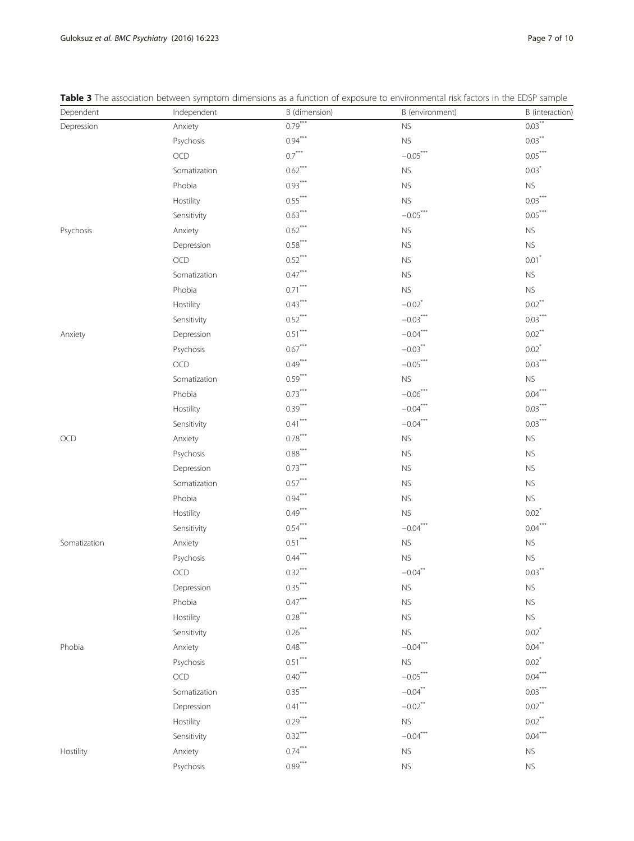| Dependent    | Independent  | B (dimension)         | B (environment)       | B (interaction)     |
|--------------|--------------|-----------------------|-----------------------|---------------------|
| Depression   | Anxiety      | $0.79***$             | <b>NS</b>             | $0.03***$           |
|              | Psychosis    | $0.94***$             | <b>NS</b>             | $0.03***$           |
|              | OCD          | $0.7***$              | $-0.05***$            | $0.05***$           |
|              | Somatization | $0.62***$             | <b>NS</b>             | $0.03*$             |
|              | Phobia       | $0.93***$             | <b>NS</b>             | <b>NS</b>           |
|              | Hostility    | $0.55***$             | <b>NS</b>             | $0.03***$           |
|              | Sensitivity  | $0.63***$             | $-0.05***$            | $0.05***$           |
| Psychosis    | Anxiety      | $0.62***$             | <b>NS</b>             | ${\sf NS}$          |
|              | Depression   | $0.58^{\ast\ast\ast}$ | <b>NS</b>             | <b>NS</b>           |
|              | OCD          | $0.52***$             | <b>NS</b>             | $0.01*$             |
|              | Somatization | $0.47***$             | <b>NS</b>             | ${\sf NS}$          |
|              | Phobia       | $0.71***$             | <b>NS</b>             | <b>NS</b>           |
|              | Hostility    | $0.43***$             | $-0.02$ <sup>*</sup>  | $0.02***$           |
|              | Sensitivity  | $0.52***$             | $-0.03***$            | $0.03***$           |
| Anxiety      | Depression   | $0.51***$             | $-0.04***$            | $0.02***$           |
|              | Psychosis    | $0.67***$             | $-0.03***$            | $0.02^*$            |
|              | OCD          | $0.49***$             | $-0.05***$            | $0.03***$           |
|              | Somatization | $0.59***$             | <b>NS</b>             | <b>NS</b>           |
|              | Phobia       | $0.73***$             | $-0.06***$            | $0.04***$           |
|              | Hostility    | $0.39***$             | $-0.04***$            | $0.03***$           |
|              | Sensitivity  | $0.41^{\ast\ast\ast}$ | $-0.04***$            | $0.03***$           |
| OCD          | Anxiety      | $0.78***$             | <b>NS</b>             | ${\sf NS}$          |
|              | Psychosis    | $0.88***$             | <b>NS</b>             | ${\sf NS}$          |
|              | Depression   | $0.73***$             | <b>NS</b>             | ${\sf NS}$          |
|              | Somatization | $0.57***$             | <b>NS</b>             | ${\sf NS}$          |
|              | Phobia       | $0.94***$             | <b>NS</b>             | ${\sf NS}$          |
|              | Hostility    | $0.49***$             | <b>NS</b>             | $0.02$ <sup>*</sup> |
|              | Sensitivity  | $0.54***$             | $-0.04***$            | $0.04***$           |
| Somatization | Anxiety      | $0.51***$             | <b>NS</b>             | ${\sf NS}$          |
|              | Psychosis    | $0.44***$             | <b>NS</b>             | <b>NS</b>           |
|              | OCD          | $0.32***$             | $-0.04$ <sup>**</sup> | $0.03***$           |
|              | Depression   | $0.35***$             | <b>NS</b>             | ${\sf NS}$          |
|              | Phobia       | $0.47***$             | <b>NS</b>             | <b>NS</b>           |
|              | Hostility    | $0.28***$             | <b>NS</b>             | <b>NS</b>           |
|              | Sensitivity  | $0.26***$             | <b>NS</b>             | $0.02^*$            |
| Phobia       | Anxiety      | $0.48***$             | $-0.04***$            | $0.04***$           |
|              | Psychosis    | $0.51^{\ast\ast\ast}$ | <b>NS</b>             | $0.02$ <sup>*</sup> |
|              | OCD          | $0.40***$             | $-0.05***$            | $0.04***$           |
|              | Somatization | $0.35***$             | $-0.04***$            | $0.03***$           |
|              | Depression   | $0.41***$             | $-0.02$ **            | $0.02***$           |
|              | Hostility    | $0.29***$             | ${\sf NS}$            | $0.02***$           |
|              | Sensitivity  | $0.32***$             | $-0.04***$            | $0.04***$           |
| Hostility    | Anxiety      | $0.74***$             | <b>NS</b>             | ${\sf NS}$          |
|              | Psychosis    | $0.89***$             | <b>NS</b>             | ${\sf NS}$          |

<span id="page-6-0"></span>Table 3 The association between symptom dimensions as a function of exposure to environmental risk factors in the EDSP sample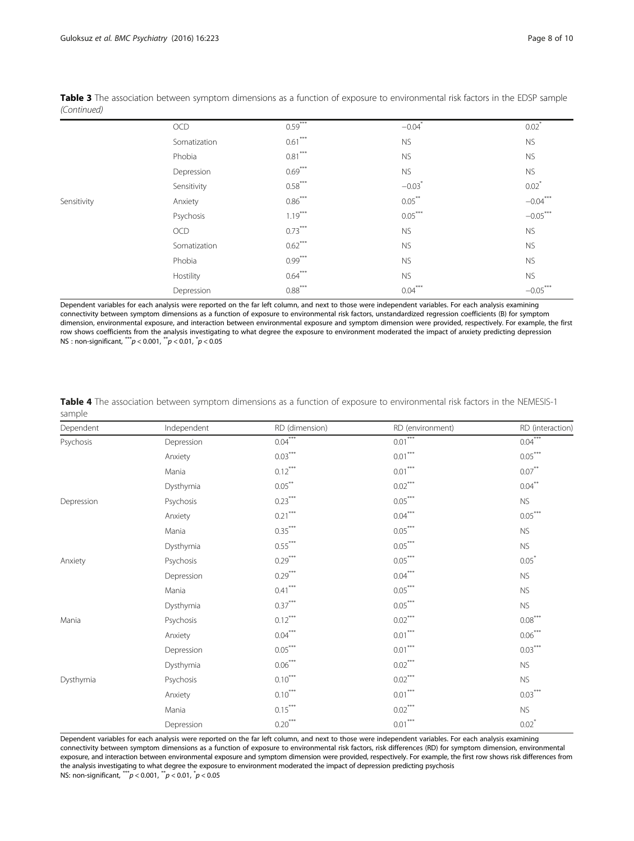|             | OCD          | $0.59***$ | $-0.04$ <sup>*</sup> | $0.02^*$   |
|-------------|--------------|-----------|----------------------|------------|
|             | Somatization | $0.61***$ | <b>NS</b>            | <b>NS</b>  |
|             | Phobia       | $0.81***$ | <b>NS</b>            | <b>NS</b>  |
|             | Depression   | $0.69***$ | <b>NS</b>            | <b>NS</b>  |
|             | Sensitivity  | $0.58***$ | $-0.03$ <sup>*</sup> | $0.02^*$   |
| Sensitivity | Anxiety      | $0.86***$ | $0.05***$            | $-0.04***$ |
|             | Psychosis    | $1.19***$ | $0.05***$            | $-0.05***$ |
|             | OCD          | $0.73***$ | <b>NS</b>            | <b>NS</b>  |
|             | Somatization | $0.62***$ | <b>NS</b>            | <b>NS</b>  |
|             | Phobia       | $0.99***$ | <b>NS</b>            | <b>NS</b>  |
|             | Hostility    | $0.64***$ | <b>NS</b>            | <b>NS</b>  |
|             | Depression   | $0.88***$ | $0.04***$            | $-0.05***$ |

<span id="page-7-0"></span>Table 3 The association between symptom dimensions as a function of exposure to environmental risk factors in the EDSP sample (Continued)

Dependent variables for each analysis were reported on the far left column, and next to those were independent variables. For each analysis examining connectivity between symptom dimensions as a function of exposure to environmental risk factors, unstandardized regression coefficients (B) for symptom dimension, environmental exposure, and interaction between environmental exposure and symptom dimension were provided, respectively. For example, the first row shows coefficients from the analysis investigating to what degree the exposure to environment moderated the impact of anxiety predicting depression<br>NS : non-significant, \*\*\*p < 0.001, \*p < 0.05, \*p < 0.05

| Dependent  | Independent | RD (dimension) | RD (environment) | RD (interaction) |
|------------|-------------|----------------|------------------|------------------|
| Psychosis  | Depression  | $0.04***$      | $0.01$ ***       | $0.04***$        |
|            | Anxiety     | $0.03***$      | $0.01***$        | $0.05***$        |
|            | Mania       | $0.12***$      | $0.01***$        | $0.07***$        |
|            | Dysthymia   | $0.05***$      | $0.02***$        | $0.04***$        |
| Depression | Psychosis   | $0.23***$      | $0.05***$        | <b>NS</b>        |
|            | Anxiety     | $0.21***$      | $0.04***$        | $0.05***$        |
|            | Mania       | $0.35***$      | $0.05***$        | <b>NS</b>        |
|            | Dysthymia   | $0.55***$      | $0.05***$        | <b>NS</b>        |
| Anxiety    | Psychosis   | $0.29***$      | $0.05***$        | $0.05^*$         |
|            | Depression  | $0.29***$      | $0.04***$        | <b>NS</b>        |
|            | Mania       | $0.41***$      | $0.05***$        | ${\sf NS}$       |
|            | Dysthymia   | $0.37***$      | $0.05***$        | <b>NS</b>        |
| Mania      | Psychosis   | $0.12***$      | $0.02***$        | $0.08***$        |
|            | Anxiety     | $0.04***$      | $0.01***$        | $0.06***$        |
|            | Depression  | $0.05***$      | $0.01***$        | $0.03***$        |
|            | Dysthymia   | $0.06***$      | $0.02***$        | <b>NS</b>        |
| Dysthymia  | Psychosis   | $0.10***$      | $0.02***$        | <b>NS</b>        |
|            | Anxiety     | $0.10***$      | $0.01***$        | $0.03***$        |
|            | Mania       | $0.15***$      | $0.02***$        | <b>NS</b>        |
|            | Depression  | $0.20***$      | $0.01***$        | $0.02*$          |

Table 4 The association between symptom dimensions as a function of exposure to environmental risk factors in the NEMESIS-1 sample

Dependent variables for each analysis were reported on the far left column, and next to those were independent variables. For each analysis examining connectivity between symptom dimensions as a function of exposure to environmental risk factors, risk differences (RD) for symptom dimension, environmental exposure, and interaction between environmental exposure and symptom dimension were provided, respectively. For example, the first row shows risk differences from the analysis investigating to what degree the exposure to environment moderated the impact of depression predicting psychosis NS: non-significant,  $\sqrt[34]{7}p < 0.001$ ,  $\sqrt[36]{7}p < 0.01$ ,  $\sqrt[5]{p} < 0.05$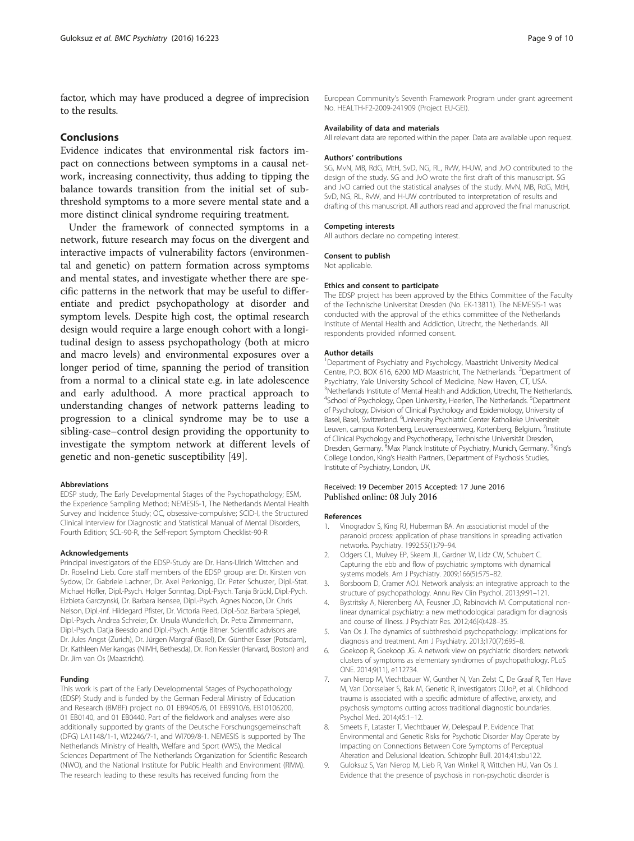<span id="page-8-0"></span>factor, which may have produced a degree of imprecision to the results.

#### **Conclusions**

Evidence indicates that environmental risk factors impact on connections between symptoms in a causal network, increasing connectivity, thus adding to tipping the balance towards transition from the initial set of subthreshold symptoms to a more severe mental state and a more distinct clinical syndrome requiring treatment.

Under the framework of connected symptoms in a network, future research may focus on the divergent and interactive impacts of vulnerability factors (environmental and genetic) on pattern formation across symptoms and mental states, and investigate whether there are specific patterns in the network that may be useful to differentiate and predict psychopathology at disorder and symptom levels. Despite high cost, the optimal research design would require a large enough cohort with a longitudinal design to assess psychopathology (both at micro and macro levels) and environmental exposures over a longer period of time, spanning the period of transition from a normal to a clinical state e.g. in late adolescence and early adulthood. A more practical approach to understanding changes of network patterns leading to progression to a clinical syndrome may be to use a sibling-case–control design providing the opportunity to investigate the symptom network at different levels of genetic and non-genetic susceptibility [\[49](#page-9-0)].

#### Abbreviations

EDSP study, The Early Developmental Stages of the Psychopathology; ESM, the Experience Sampling Method; NEMESIS-1, The Netherlands Mental Health Survey and Incidence Study; OC, obsessive-compulsive; SCID-I, the Structured Clinical Interview for Diagnostic and Statistical Manual of Mental Disorders, Fourth Edition; SCL-90-R, the Self-report Symptom Checklist-90-R

#### Acknowledgements

Principal investigators of the EDSP-Study are Dr. Hans-Ulrich Wittchen and Dr. Roselind Lieb. Core staff members of the EDSP group are: Dr. Kirsten von Sydow, Dr. Gabriele Lachner, Dr. Axel Perkonigg, Dr. Peter Schuster, Dipl.-Stat. Michael Höfler, Dipl.-Psych. Holger Sonntag, Dipl.-Psych. Tanja Brückl, Dipl.-Pych. Elzbieta Garczynski, Dr. Barbara Isensee, Dipl.-Psych. Agnes Nocon, Dr. Chris Nelson, Dipl.-Inf. Hildegard Pfister, Dr. Victoria Reed, Dipl.-Soz. Barbara Spiegel, Dipl.-Psych. Andrea Schreier, Dr. Ursula Wunderlich, Dr. Petra Zimmermann, Dipl.-Psych. Datja Beesdo and Dipl.-Psych. Antje Bitner. Scientific advisors are Dr. Jules Angst (Zurich), Dr. Jürgen Margraf (Basel), Dr. Günther Esser (Potsdam), Dr. Kathleen Merikangas (NIMH, Bethesda), Dr. Ron Kessler (Harvard, Boston) and Dr. Jim van Os (Maastricht).

#### Funding

This work is part of the Early Developmental Stages of Psychopathology (EDSP) Study and is funded by the German Federal Ministry of Education and Research (BMBF) project no. 01 EB9405/6, 01 EB9910/6, EB10106200, 01 EB0140, and 01 EB0440. Part of the fieldwork and analyses were also additionally supported by grants of the Deutsche Forschungsgemeinschaft (DFG) LA1148/1-1, WI2246/7-1, and WI709/8-1. NEMESIS is supported by The Netherlands Ministry of Health, Welfare and Sport (VWS), the Medical Sciences Department of The Netherlands Organization for Scientific Research (NWO), and the National Institute for Public Health and Environment (RIVM). The research leading to these results has received funding from the

European Community's Seventh Framework Program under grant agreement No. HEALTH-F2-2009-241909 (Project EU-GEI).

#### Availability of data and materials

All relevant data are reported within the paper. Data are available upon request.

#### Authors' contributions

SG, MvN, MB, RdG, MtH, SvD, NG, RL, RvW, H-UW, and JvO contributed to the design of the study. SG and JvO wrote the first draft of this manuscript. SG and JvO carried out the statistical analyses of the study. MvN, MB, RdG, MtH, SvD, NG, RL, RvW, and H-UW contributed to interpretation of results and drafting of this manuscript. All authors read and approved the final manuscript.

#### Competing interests

All authors declare no competing interest.

#### Consent to publish

Not applicable.

#### Ethics and consent to participate

The EDSP project has been approved by the Ethics Committee of the Faculty of the Technische Universitat Dresden (No. EK-13811). The NEMESIS-1 was conducted with the approval of the ethics committee of the Netherlands Institute of Mental Health and Addiction, Utrecht, the Netherlands. All respondents provided informed consent.

#### Author details

<sup>1</sup>Department of Psychiatry and Psychology, Maastricht University Medical Centre, P.O. BOX 616, 6200 MD Maastricht, The Netherlands. <sup>2</sup>Department of Psychiatry, Yale University School of Medicine, New Haven, CT, USA. <sup>3</sup>Netherlands Institute of Mental Health and Addiction, Utrecht, The Netherlands. <sup>4</sup>School of Psychology, Open University, Heerlen, The Netherlands. <sup>5</sup>Department of Psychology, Division of Clinical Psychology and Epidemiology, University of Basel, Basel, Switzerland. <sup>6</sup>University Psychiatric Center Katholieke Universiteit Leuven, campus Kortenberg, Leuvensesteenweg, Kortenberg, Belgium. <sup>7</sup>Institute of Clinical Psychology and Psychotherapy, Technische Universität Dresden, Dresden, Germany. <sup>8</sup>Max Planck Institute of Psychiatry, Munich, Germany. <sup>9</sup>King's College London, King's Health Partners, Department of Psychosis Studies, Institute of Psychiatry, London, UK.

#### Received: 19 December 2015 Accepted: 17 June 2016 Published online: 08 July 2016

#### References

- Vinogradov S, King RJ, Huberman BA. An associationist model of the paranoid process: application of phase transitions in spreading activation networks. Psychiatry. 1992;55(1):79–94.
- Odgers CL, Mulvey EP, Skeem JL, Gardner W, Lidz CW, Schubert C. Capturing the ebb and flow of psychiatric symptoms with dynamical systems models. Am J Psychiatry. 2009;166(5):575–82.
- 3. Borsboom D, Cramer AOJ. Network analysis: an integrative approach to the structure of psychopathology. Annu Rev Clin Psychol. 2013;9:91–121.
- Bystritsky A, Nierenberg AA, Feusner JD, Rabinovich M. Computational nonlinear dynamical psychiatry: a new methodological paradigm for diagnosis and course of illness. J Psychiatr Res. 2012;46(4):428–35.
- 5. Van Os J. The dynamics of subthreshold psychopathology: implications for diagnosis and treatment. Am J Psychiatry. 2013;170(7):695–8.
- 6. Goekoop R, Goekoop JG. A network view on psychiatric disorders: network clusters of symptoms as elementary syndromes of psychopathology. PLoS ONE. 2014;9(11), e112734.
- 7. van Nierop M, Viechtbauer W, Gunther N, Van Zelst C, De Graaf R, Ten Have M, Van Dorsselaer S, Bak M, Genetic R, investigators OUoP, et al. Childhood trauma is associated with a specific admixture of affective, anxiety, and psychosis symptoms cutting across traditional diagnostic boundaries. Psychol Med. 2014;45:1–12.
- 8. Smeets F, Lataster T, Viechtbauer W, Delespaul P. Evidence That Environmental and Genetic Risks for Psychotic Disorder May Operate by Impacting on Connections Between Core Symptoms of Perceptual Alteration and Delusional Ideation. Schizophr Bull. 2014;41:sbu122.
- 9. Guloksuz S, Van Nierop M, Lieb R, Van Winkel R, Wittchen HU, Van Os J. Evidence that the presence of psychosis in non-psychotic disorder is